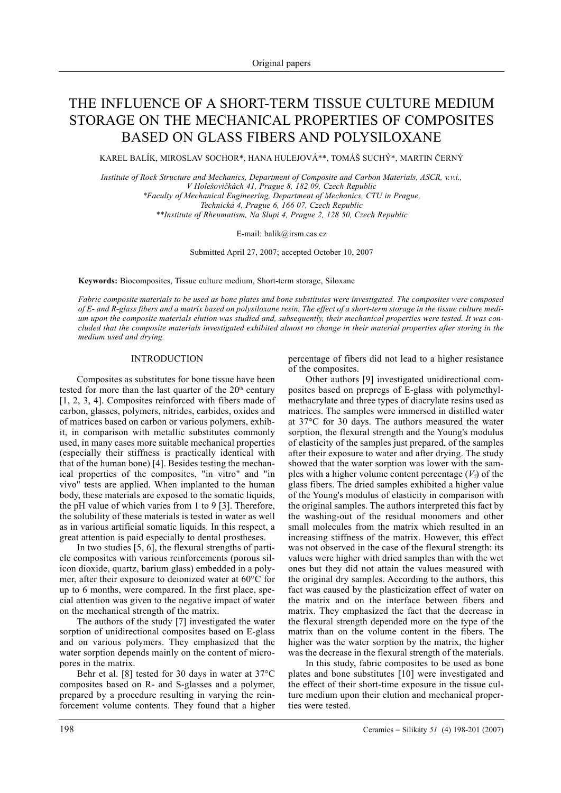# THE INFLUENCE OF A SHORT-TERM TISSUE CULTURE MEDIUM STORAGE ON THE MECHANICAL PROPERTIES OF COMPOSITES BASED ON GLASS FIBERS AND POLYSILOXANE

KAREL BALÍK, MIROSLAV SOCHOR\*, HANA HULEJOVÁ\*\*, TOMÁŠ SUCHÝ\*, MARTIN ÈERNÝ

*Institute of Rock Structure and Mechanics, Department of Composite and Carbon Materials, ASCR, v.v.i., V Holešovièkách 41, Prague 8, 182 09, Czech Republic \*Faculty of Mechanical Engineering, Department of Mechanics, CTU in Prague, Technická 4, Prague 6, 166 07, Czech Republic \*\*Institute of Rheumatism, Na Slupi 4, Prague 2, 128 50, Czech Republic*

E-mail: balik@irsm.cas.cz

Submitted April 27, 2007; accepted October 10, 2007

**Keywords:** Biocomposites, Tissue culture medium, Short-term storage, Siloxane

*Fabric composite materials to be used as bone plates and bone substitutes were investigated. The composites were composed of E- and R-glass fibers and a matrix based on polysiloxane resin. The effect of a short-term storage in the tissue culture medium upon the composite materials elution was studied and, subsequently, their mechanical properties were tested. It was concluded that the composite materials investigated exhibited almost no change in their material properties after storing in the medium used and drying.*

# INTRODUCTION

Composites as substitutes for bone tissue have been tested for more than the last quarter of the  $20<sup>th</sup>$  century [1, 2, 3, 4]. Composites reinforced with fibers made of carbon, glasses, polymers, nitrides, carbides, oxides and of matrices based on carbon or various polymers, exhibit, in comparison with metallic substitutes commonly used, in many cases more suitable mechanical properties (especially their stiffness is practically identical with that of the human bone) [4]. Besides testing the mechanical properties of the composites, "in vitro" and "in vivo" tests are applied. When implanted to the human body, these materials are exposed to the somatic liquids, the pH value of which varies from 1 to 9 [3]. Therefore, the solubility of these materials is tested in water as well as in various artificial somatic liquids. In this respect, a great attention is paid especially to dental prostheses.

In two studies [5, 6], the flexural strengths of particle composites with various reinforcements (porous silicon dioxide, quartz, barium glass) embedded in a polymer, after their exposure to deionized water at 60°C for up to 6 months, were compared. In the first place, special attention was given to the negative impact of water on the mechanical strength of the matrix.

The authors of the study [7] investigated the water sorption of unidirectional composites based on E-glass and on various polymers. They emphasized that the water sorption depends mainly on the content of micropores in the matrix.

Behr et al. [8] tested for 30 days in water at 37°C composites based on R- and S-glasses and a polymer, prepared by a procedure resulting in varying the reinforcement volume contents. They found that a higher percentage of fibers did not lead to a higher resistance of the composites.

Other authors [9] investigated unidirectional composites based on prepregs of E-glass with polymethylmethacrylate and three types of diacrylate resins used as matrices. The samples were immersed in distilled water at 37°C for 30 days. The authors measured the water sorption, the flexural strength and the Young's modulus of elasticity of the samples just prepared, of the samples after their exposure to water and after drying. The study showed that the water sorption was lower with the samples with a higher volume content percentage  $(V_f)$  of the glass fibers. The dried samples exhibited a higher value of the Young's modulus of elasticity in comparison with the original samples. The authors interpreted this fact by the washing-out of the residual monomers and other small molecules from the matrix which resulted in an increasing stiffness of the matrix. However, this effect was not observed in the case of the flexural strength: its values were higher with dried samples than with the wet ones but they did not attain the values measured with the original dry samples. According to the authors, this fact was caused by the plasticization effect of water on the matrix and on the interface between fibers and matrix. They emphasized the fact that the decrease in the flexural strength depended more on the type of the matrix than on the volume content in the fibers. The higher was the water sorption by the matrix, the higher was the decrease in the flexural strength of the materials.

In this study, fabric composites to be used as bone plates and bone substitutes [10] were investigated and the effect of their short-time exposure in the tissue culture medium upon their elution and mechanical properties were tested.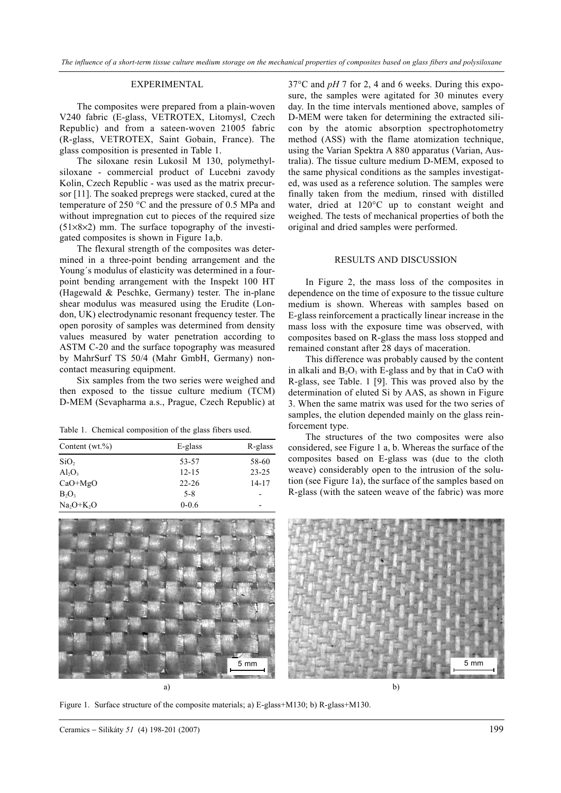## EXPERIMENTAL

The composites were prepared from a plain-woven V240 fabric (E-glass, VETROTEX, Litomysl, Czech Republic) and from a sateen-woven 21005 fabric (R-glass, VETROTEX, Saint Gobain, France). The glass composition is presented in Table 1.

The siloxane resin Lukosil M 130, polymethylsiloxane - commercial product of Lucebni zavody Kolin, Czech Republic - was used as the matrix precursor [11]. The soaked prepregs were stacked, cured at the temperature of 250 °C and the pressure of 0.5 MPa and without impregnation cut to pieces of the required size  $(51\times8\times2)$  mm. The surface topography of the investigated composites is shown in Figure 1a,b.

The flexural strength of the composites was determined in a three-point bending arrangement and the Young´s modulus of elasticity was determined in a fourpoint bending arrangement with the Inspekt 100 HT (Hagewald & Peschke, Germany) tester. The in-plane shear modulus was measured using the Erudite (London, UK) electrodynamic resonant frequency tester. The open porosity of samples was determined from density values measured by water penetration according to ASTM C-20 and the surface topography was measured by MahrSurf TS 50/4 (Mahr GmbH, Germany) noncontact measuring equipment.

Six samples from the two series were weighed and then exposed to the tissue culture medium (TCM) D-MEM (Sevapharma a.s., Prague, Czech Republic) at

Table 1. Chemical composition of the glass fibers used.

| Content $(wt.\%)$ | E-glass   | R-glass                  |  |
|-------------------|-----------|--------------------------|--|
| SiO <sub>2</sub>  | 53-57     | 58-60                    |  |
| $Al_2O_3$         | $12 - 15$ | $23 - 25$                |  |
| $CaO+MgO$         | $22 - 26$ | $14 - 17$                |  |
| $B_2O_3$          | $5 - 8$   |                          |  |
| $Na2O+K2O$        | $0 - 0.6$ | $\overline{\phantom{0}}$ |  |



37°C and *pH* 7 for 2, 4 and 6 weeks. During this exposure, the samples were agitated for 30 minutes every day. In the time intervals mentioned above, samples of D-MEM were taken for determining the extracted silicon by the atomic absorption spectrophotometry method (ASS) with the flame atomization technique, using the Varian Spektra A 880 apparatus (Varian, Australia). The tissue culture medium D-MEM, exposed to the same physical conditions as the samples investigated, was used as a reference solution. The samples were finally taken from the medium, rinsed with distilled water, dried at 120°C up to constant weight and weighed. The tests of mechanical properties of both the original and dried samples were performed.

## RESULTS AND DISCUSSION

In Figure 2, the mass loss of the composites in dependence on the time of exposure to the tissue culture medium is shown. Whereas with samples based on E-glass reinforcement a practically linear increase in the mass loss with the exposure time was observed, with composites based on R-glass the mass loss stopped and remained constant after 28 days of maceration.

This difference was probably caused by the content in alkali and  $B_2O_3$  with E-glass and by that in CaO with R-glass, see Table. 1 [9]. This was proved also by the determination of eluted Si by AAS, as shown in Figure 3. When the same matrix was used for the two series of samples, the elution depended mainly on the glass reinforcement type.

The structures of the two composites were also considered, see Figure 1 a, b. Whereas the surface of the composites based on E-glass was (due to the cloth weave) considerably open to the intrusion of the solution (see Figure 1a), the surface of the samples based on R-glass (with the sateen weave of the fabric) was more



Figure 1. Surface structure of the composite materials; a) E-glass+M130; b) R-glass+M130.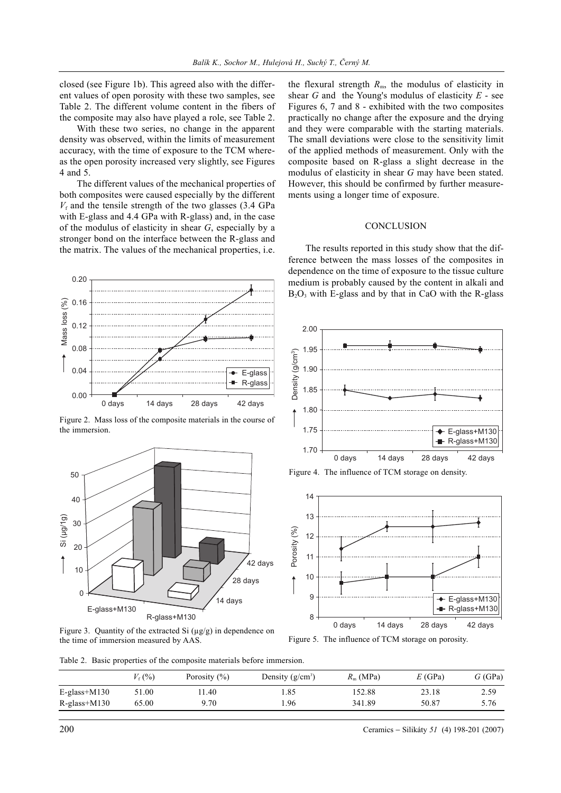closed (see Figure 1b). This agreed also with the different values of open porosity with these two samples, see Table 2. The different volume content in the fibers of the composite may also have played a role, see Table 2.

With these two series, no change in the apparent density was observed, within the limits of measurement accuracy, with the time of exposure to the TCM whereas the open porosity increased very slightly, see Figures 4 and 5.

The different values of the mechanical properties of both composites were caused especially by the different  $V<sub>f</sub>$  and the tensile strength of the two glasses (3.4 GPa with E-glass and 4.4 GPa with R-glass) and, in the case of the modulus of elasticity in shear *G*, especially by a stronger bond on the interface between the R-glass and the matrix. The values of the mechanical properties, i.e.

and on the interface between the R-glass at The values of the mechanical properties,<br>
The values of the mechanical properties,<br>  $\overrightarrow{e}$ -E-glas<br>  $\overrightarrow{0}$  days  $\overrightarrow{14}$  days  $\overrightarrow{28}$  days  $\overrightarrow{42}$  days ass loss of the c 0.20 Mass loss (%) 0.16 Mass loss (%) 0.12 0.08 0.04 E-glass R-glass 0.00

Figure 2. Mass loss of the composite materials in the course of the immersion.



Figure 3. Quantity of the extracted Si (µg/g) in dependence on the time of immersion measured by AAS.

the flexural strength  $R<sub>m</sub>$ , the modulus of elasticity in shear *G* and the Young's modulus of elasticity *E* - see Figures 6, 7 and 8 - exhibited with the two composites practically no change after the exposure and the drying and they were comparable with the starting materials. The small deviations were close to the sensitivity limit of the applied methods of measurement. Only with the composite based on R-glass a slight decrease in the modulus of elasticity in shear *G* may have been stated. However, this should be confirmed by further measurements using a longer time of exposure.

# **CONCLUSION**

The results reported in this study show that the difference between the mass losses of the composites in dependence on the time of exposure to the tissue culture medium is probably caused by the content in alkali and  $B_2O_3$  with E-glass and by that in CaO with the R-glass



Figure 4. The influence of TCM storage on density.



Figure 5. The influence of TCM storage on porosity.

Table 2. Basic properties of the composite materials before immersion.

|                | $V_{\rm f}$ (%) | Porosity $(\% )$ | Density $(g/cm^3)$ | $R_{\rm m}$ (MPa) | E(GPa) | G(GPa) |
|----------------|-----------------|------------------|--------------------|-------------------|--------|--------|
| $E-glass+M130$ | 51.00           | .1.40            | .85                | 152.88            | 23.18  | 2.59   |
| $R-glass+M130$ | 65.00           | 9.70             | .96                | 341.89            | 50.87  | 5.76   |

200 Ceramics − Silikáty *51* (4) 198-201 (2007)